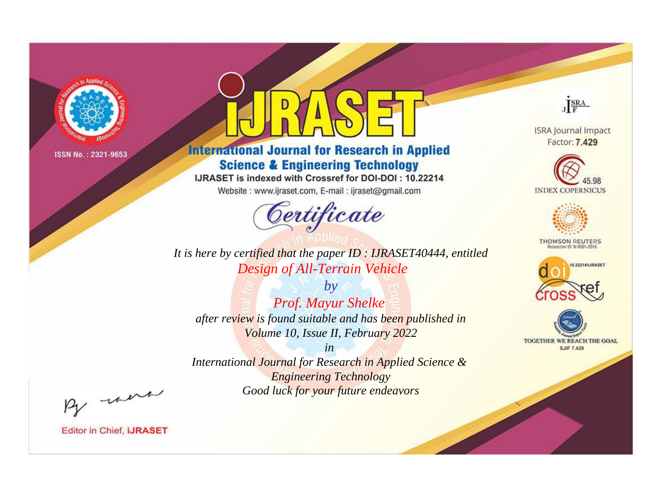

# **International Journal for Research in Applied Science & Engineering Technology**

IJRASET is indexed with Crossref for DOI-DOI: 10.22214

Website: www.ijraset.com, E-mail: ijraset@gmail.com



JERA

**ISRA Journal Impact** Factor: 7.429





**THOMSON REUTERS** 



TOGETHER WE REACH THE GOAL **SJIF 7.429** 

It is here by certified that the paper ID: IJRASET40444, entitled Design of All-Terrain Vehicle

 $by$ Prof. Mayur Shelke after review is found suitable and has been published in Volume 10, Issue II, February 2022

 $in$ International Journal for Research in Applied Science & **Engineering Technology** Good luck for your future endeavors

By morn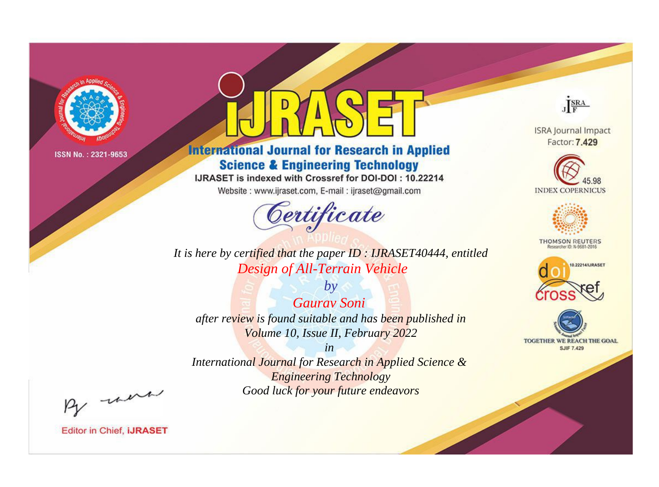

# **International Journal for Research in Applied Science & Engineering Technology**

IJRASET is indexed with Crossref for DOI-DOI: 10.22214

Website: www.ijraset.com, E-mail: ijraset@gmail.com



JERA

**ISRA Journal Impact** Factor: 7.429





**THOMSON REUTERS** 



TOGETHER WE REACH THE GOAL **SJIF 7.429** 

It is here by certified that the paper ID: IJRASET40444, entitled Design of All-Terrain Vehicle

 $by$ **Gauray Soni** after review is found suitable and has been published in Volume 10, Issue II, February 2022

 $in$ International Journal for Research in Applied Science & **Engineering Technology** Good luck for your future endeavors

By morn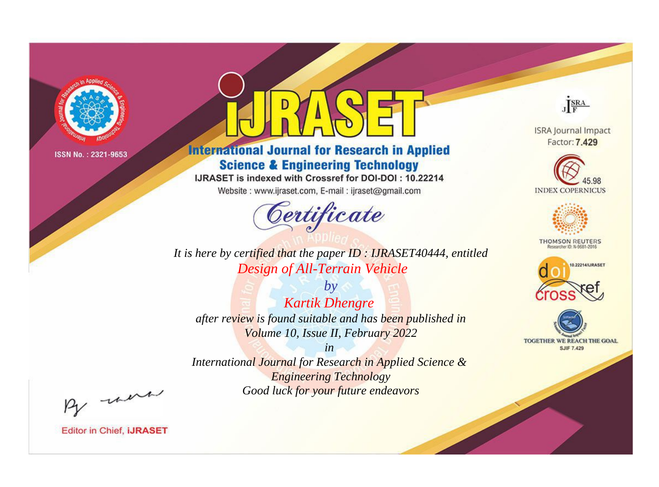

# **International Journal for Research in Applied Science & Engineering Technology**

IJRASET is indexed with Crossref for DOI-DOI: 10.22214

Website: www.ijraset.com, E-mail: ijraset@gmail.com



JERA

**ISRA Journal Impact** Factor: 7.429





**THOMSON REUTERS** 



TOGETHER WE REACH THE GOAL **SJIF 7.429** 

It is here by certified that the paper ID: IJRASET40444, entitled Design of All-Terrain Vehicle

 $by$ **Kartik Dhengre** after review is found suitable and has been published in Volume 10, Issue II, February 2022

 $in$ International Journal for Research in Applied Science & **Engineering Technology** Good luck for your future endeavors

By morn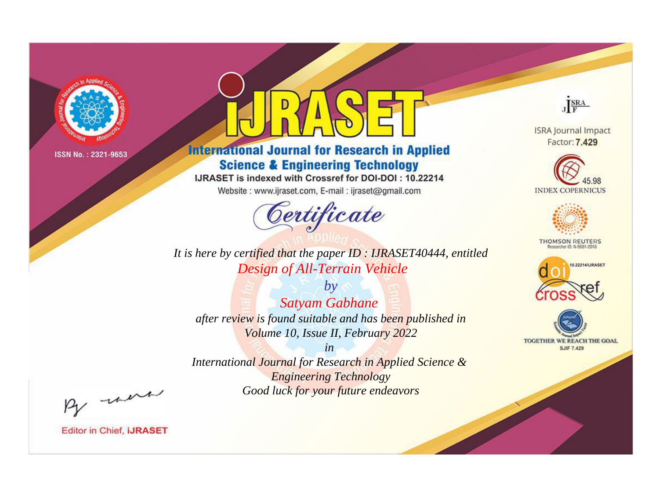

# **International Journal for Research in Applied Science & Engineering Technology**

IJRASET is indexed with Crossref for DOI-DOI: 10.22214

Website: www.ijraset.com, E-mail: ijraset@gmail.com



JERA **ISRA Journal Impact** 

Factor: 7.429





**THOMSON REUTERS** 



TOGETHER WE REACH THE GOAL **SJIF 7.429** 

It is here by certified that the paper ID: IJRASET40444, entitled Design of All-Terrain Vehicle

 $by$ **Satyam Gabhane** after review is found suitable and has been published in Volume 10, Issue II, February 2022

 $in$ International Journal for Research in Applied Science & **Engineering Technology** Good luck for your future endeavors

By morn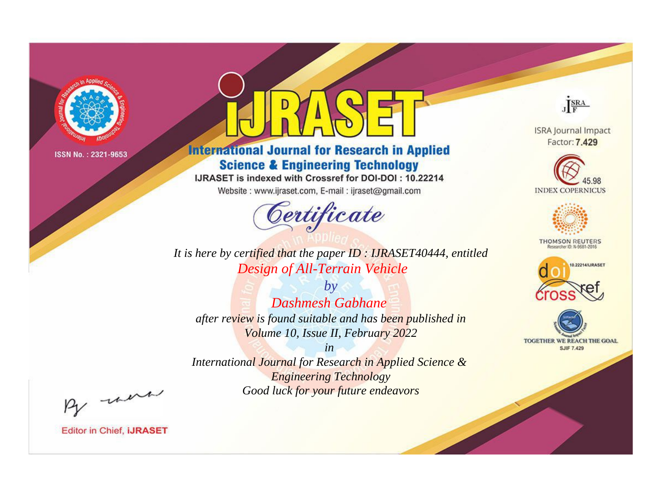

# **International Journal for Research in Applied Science & Engineering Technology**

IJRASET is indexed with Crossref for DOI-DOI: 10.22214

Website: www.ijraset.com, E-mail: ijraset@gmail.com



JERA

**ISRA Journal Impact** Factor: 7.429





**THOMSON REUTERS** 



TOGETHER WE REACH THE GOAL **SJIF 7.429** 

It is here by certified that the paper ID: IJRASET40444, entitled Design of All-Terrain Vehicle

 $b\nu$ **Dashmesh Gabhane** after review is found suitable and has been published in Volume 10, Issue II, February 2022

 $in$ International Journal for Research in Applied Science & **Engineering Technology** Good luck for your future endeavors

By morn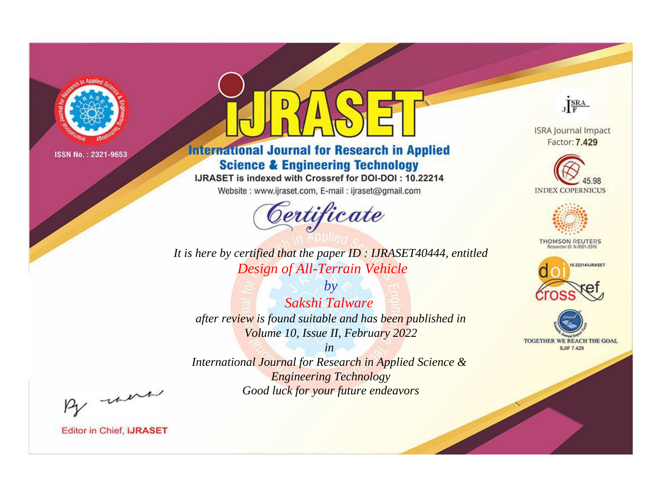

# **International Journal for Research in Applied Science & Engineering Technology**

IJRASET is indexed with Crossref for DOI-DOI: 10.22214

Website: www.ijraset.com, E-mail: ijraset@gmail.com



**ISRA Journal Impact** Factor: 7.429

JERA





**THOMSON REUTERS** 



TOGETHER WE REACH THE GOAL **SJIF 7.429** 

It is here by certified that the paper ID: IJRASET40444, entitled Design of All-Terrain Vehicle

 $by$ Sakshi Talware after review is found suitable and has been published in Volume 10, Issue II, February 2022

 $in$ International Journal for Research in Applied Science & **Engineering Technology** Good luck for your future endeavors

By morn